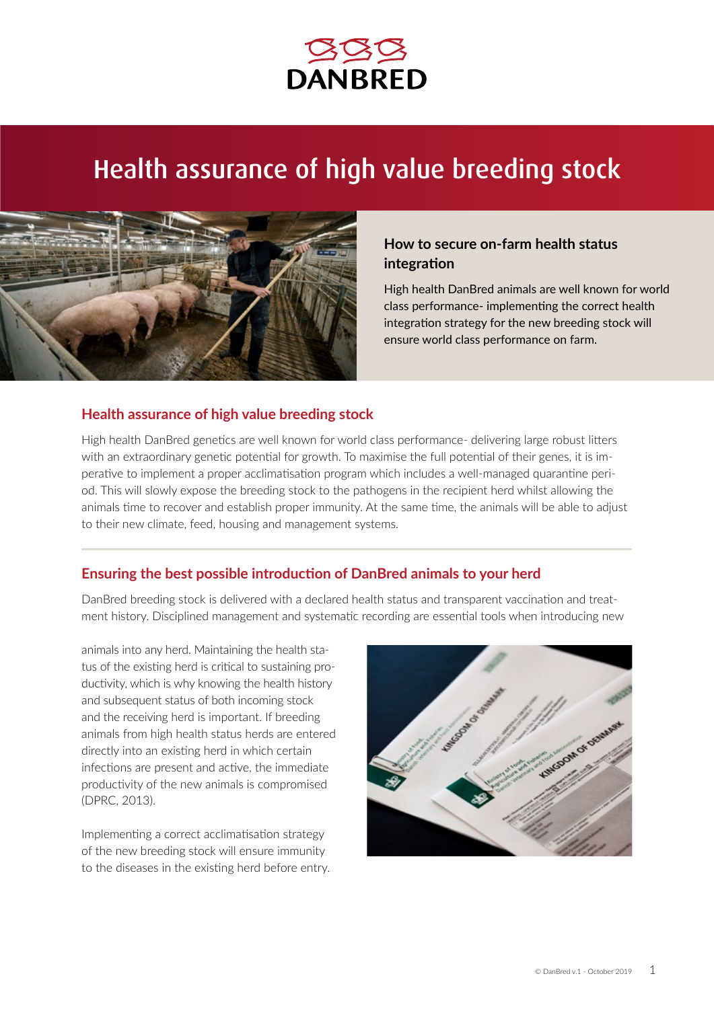

# Health assurance of high value breeding stock



# **How to secure on-farm health status integration**

High health DanBred animals are well known for world class performance- implementing the correct health integration strategy for the new breeding stock will ensure world class performance on farm.

### **Health assurance of high value breeding stock**

High health DanBred genetics are well known for world class performance- delivering large robust litters with an extraordinary genetic potential for growth. To maximise the full potential of their genes, it is imperative to implement a proper acclimatisation program which includes a well-managed quarantine period. This will slowly expose the breeding stock to the pathogens in the recipient herd whilst allowing the animals time to recover and establish proper immunity. At the same time, the animals will be able to adjust to their new climate, feed, housing and management systems.

# **Ensuring the best possible introduction of DanBred animals to your herd**

DanBred breeding stock is delivered with a declared health status and transparent vaccination and treatment history. Disciplined management and systematic recording are essential tools when introducing new

animals into any herd. Maintaining the health status of the existing herd is critical to sustaining productivity, which is why knowing the health history and subsequent status of both incoming stock and the receiving herd is important. If breeding animals from high health status herds are entered directly into an existing herd in which certain infections are present and active, the immediate productivity of the new animals is compromised (DPRC, 2013).

Implementing a correct acclimatisation strategy of the new breeding stock will ensure immunity to the diseases in the existing herd before entry.

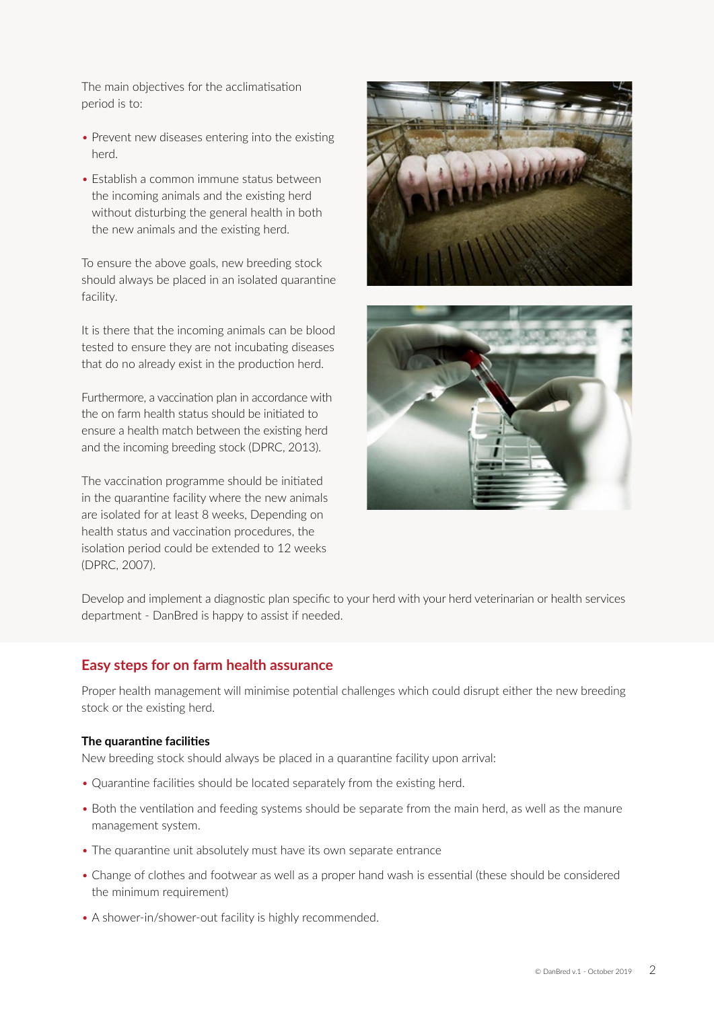The main objectives for the acclimatisation period is to:

- Prevent new diseases entering into the existing herd.
- Establish a common immune status between the incoming animals and the existing herd without disturbing the general health in both the new animals and the existing herd.

To ensure the above goals, new breeding stock should always be placed in an isolated quarantine facility.

It is there that the incoming animals can be blood tested to ensure they are not incubating diseases that do no already exist in the production herd.

Furthermore, a vaccination plan in accordance with the on farm health status should be initiated to ensure a health match between the existing herd and the incoming breeding stock (DPRC, 2013).

The vaccination programme should be initiated in the quarantine facility where the new animals are isolated for at least 8 weeks, Depending on health status and vaccination procedures, the isolation period could be extended to 12 weeks (DPRC, 2007).





Develop and implement a diagnostic plan specific to your herd with your herd veterinarian or health services department - DanBred is happy to assist if needed.

# **Easy steps for on farm health assurance**

Proper health management will minimise potential challenges which could disrupt either the new breeding stock or the existing herd.

#### **The quarantine facilities**

New breeding stock should always be placed in a quarantine facility upon arrival:

- Quarantine facilities should be located separately from the existing herd.
- Both the ventilation and feeding systems should be separate from the main herd, as well as the manure management system.
- The quarantine unit absolutely must have its own separate entrance
- Change of clothes and footwear as well as a proper hand wash is essential (these should be considered the minimum requirement)
- A shower-in/shower-out facility is highly recommended.